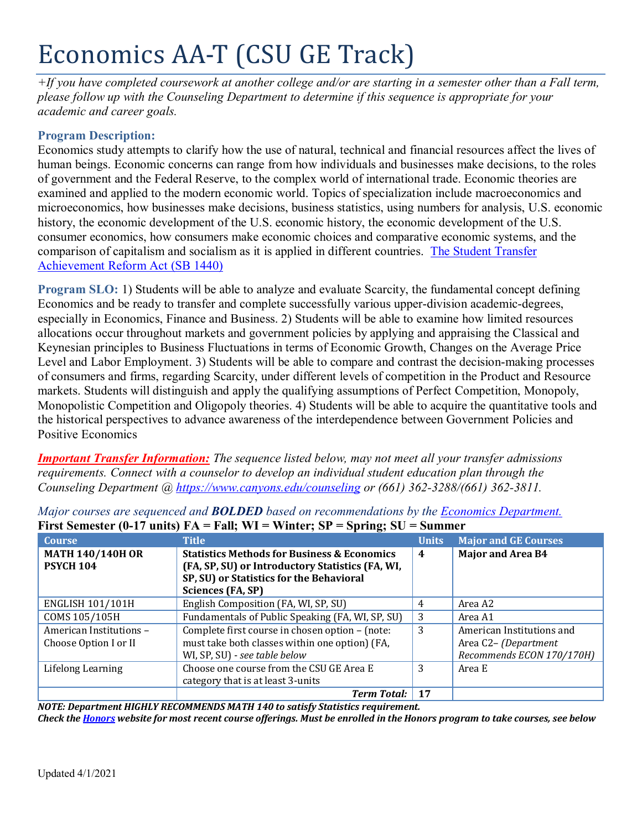# Economics AA-T (CSU GE Track)

*+If you have completed coursework at another college and/or are starting in a semester other than a Fall term, please follow up with the Counseling Department to determine if this sequence is appropriate for your academic and career goals.* 

# **Program Description:**

Economics study attempts to clarify how the use of natural, technical and financial resources affect the lives of human beings. Economic concerns can range from how individuals and businesses make decisions, to the roles of government and the Federal Reserve, to the complex world of international trade. Economic theories are examined and applied to the modern economic world. Topics of specialization include macroeconomics and microeconomics, how businesses make decisions, business statistics, using numbers for analysis, U.S. economic history, the economic development of the U.S. economic history, the economic development of the U.S. consumer economics, how consumers make economic choices and comparative economic systems, and the comparison of capitalism and socialism as it is applied in different countries. [The Student Transfer](https://www2.calstate.edu/apply/transfer/Pages/ccc-associate-degree-for-transfer.aspx)  [Achievement Reform Act \(SB 1440\)](https://www2.calstate.edu/apply/transfer/Pages/ccc-associate-degree-for-transfer.aspx)

**Program SLO:** 1) Students will be able to analyze and evaluate Scarcity, the fundamental concept defining Economics and be ready to transfer and complete successfully various upper-division academic-degrees, especially in Economics, Finance and Business. 2) Students will be able to examine how limited resources allocations occur throughout markets and government policies by applying and appraising the Classical and Keynesian principles to Business Fluctuations in terms of Economic Growth, Changes on the Average Price Level and Labor Employment. 3) Students will be able to compare and contrast the decision-making processes of consumers and firms, regarding Scarcity, under different levels of competition in the Product and Resource markets. Students will distinguish and apply the qualifying assumptions of Perfect Competition, Monopoly, Monopolistic Competition and Oligopoly theories. 4) Students will be able to acquire the quantitative tools and the historical perspectives to advance awareness of the interdependence between Government Policies and Positive Economics

*Important Transfer Information: The sequence listed below, may not meet all your transfer admissions requirements. Connect with a counselor to develop an individual student education plan through the Counseling Department @<https://www.canyons.edu/counseling> or (661) 362-3288/(661) 362-3811.*

| <b>Course</b>           | <b>Title</b>                                           | <b>Units</b>     | <b>Major and GE Courses</b> |
|-------------------------|--------------------------------------------------------|------------------|-----------------------------|
| <b>MATH 140/140H OR</b> | <b>Statistics Methods for Business &amp; Economics</b> | $\boldsymbol{4}$ | <b>Major and Area B4</b>    |
| <b>PSYCH 104</b>        | (FA, SP, SU) or Introductory Statistics (FA, WI,       |                  |                             |
|                         | SP, SU) or Statistics for the Behavioral               |                  |                             |
|                         | Sciences (FA, SP)                                      |                  |                             |
| <b>ENGLISH 101/101H</b> | English Composition (FA, WI, SP, SU)                   | 4                | Area A2                     |
| COMS 105/105H           | Fundamentals of Public Speaking (FA, WI, SP, SU)       | 3                | Area A1                     |
| American Institutions - | Complete first course in chosen option - (note:        | 3                | American Institutions and   |
| Choose Option I or II   | must take both classes within one option) (FA,         |                  | Area C2-(Department         |
|                         | WI, SP, SU) - see table below                          |                  | Recommends ECON 170/170H)   |
| Lifelong Learning       | Choose one course from the CSU GE Area E               | 3                | Area E                      |
|                         | category that is at least 3-units                      |                  |                             |
|                         | <b>Term Total:</b>                                     | 17               |                             |

*Major courses are sequenced and BOLDED based on recommendations by the [Economics Department.](https://www.canyons.edu/academics/economics/index.php)* **First Semester (0-17 units) FA = Fall; WI = Winter; SP = Spring; SU = Summer**

*NOTE: Department HIGHLY RECOMMENDS MATH 140 to satisfy Statistics requirement. Check the [Honors](https://www.canyons.edu/academics/honors/index.php) website for most recent course offerings. Must be enrolled in the Honors program to take courses, see below*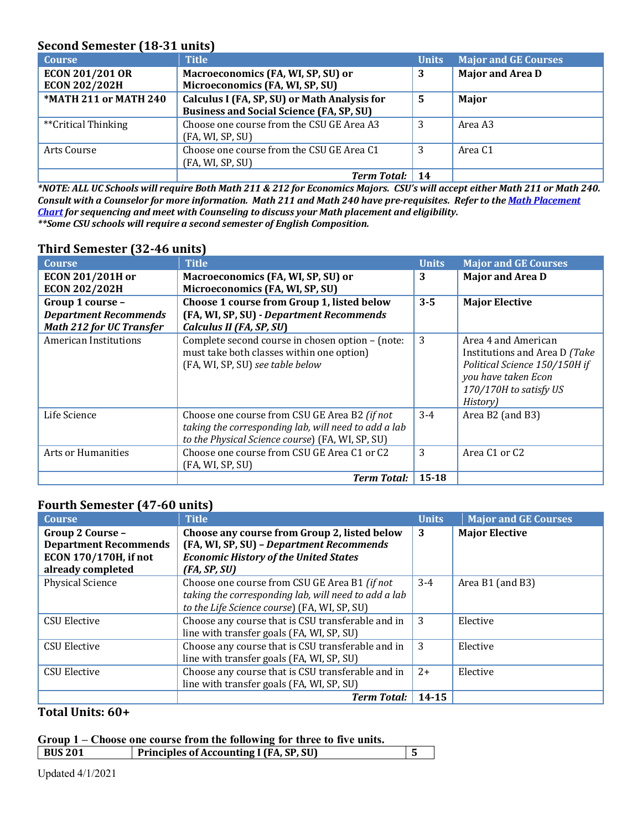# **Second Semester (18-31 units)**

| <b>Course</b>          | <b>Title</b>                                    | <b>Units</b> | <b>Major and GE Courses</b> |
|------------------------|-------------------------------------------------|--------------|-----------------------------|
| <b>ECON 201/201 OR</b> | Macroeconomics (FA, WI, SP, SU) or              | 3            | <b>Major and Area D</b>     |
| <b>ECON 202/202H</b>   | Microeconomics (FA, WI, SP, SU)                 |              |                             |
| *MATH 211 or MATH 240  | Calculus I (FA, SP, SU) or Math Analysis for    | .5           | Major                       |
|                        | <b>Business and Social Science (FA, SP, SU)</b> |              |                             |
| **Critical Thinking    | Choose one course from the CSU GE Area A3       | 3            | Area A3                     |
|                        | (FA, WI, SP, SU)                                |              |                             |
| Arts Course            | Choose one course from the CSU GE Area C1       | 3            | Area C <sub>1</sub>         |
|                        | (FA, WI, SP, SU)                                |              |                             |
|                        | <b>Term Total:</b>                              |              |                             |

*\*NOTE: ALL UC Schools will require Both Math 211 & 212 for Economics Majors. CSU's will accept either Math 211 or Math 240. Consult with a Counselor for more information. Math 211 and Math 240 have pre-requisites. Refer to th[e Math Placement](https://www.canyons.edu/_resources/documents/studentservices/assessment/math-english-sequence-updated-9-11-2020-.pdf)  [Chart](https://www.canyons.edu/_resources/documents/studentservices/assessment/math-english-sequence-updated-9-11-2020-.pdf) for sequencing and meet with Counseling to discuss your Math placement and eligibility. \*\*Some CSU schools will require a second semester of English Composition.*

| <b>Course</b>                   | <b>Title</b>                                         | <b>Units</b> | <b>Major and GE Courses</b>   |
|---------------------------------|------------------------------------------------------|--------------|-------------------------------|
| <b>ECON 201/201H or</b>         | Macroeconomics (FA, WI, SP, SU) or                   | 3            | <b>Major and Area D</b>       |
| <b>ECON 202/202H</b>            | Microeconomics (FA, WI, SP, SU)                      |              |                               |
| Group 1 course -                | Choose 1 course from Group 1, listed below           | $3 - 5$      | <b>Major Elective</b>         |
| <b>Department Recommends</b>    | (FA, WI, SP, SU) - Department Recommends             |              |                               |
| <b>Math 212 for UC Transfer</b> | Calculus II (FA, SP, SU)                             |              |                               |
| American Institutions           | Complete second course in chosen option - (note:     | 3            | Area 4 and American           |
|                                 | must take both classes within one option)            |              | Institutions and Area D (Take |
|                                 | (FA, WI, SP, SU) see table below                     |              | Political Science 150/150H if |
|                                 |                                                      |              | you have taken Econ           |
|                                 |                                                      |              | 170/170H to satisfy US        |
|                                 |                                                      |              | History)                      |
| Life Science                    | Choose one course from CSU GE Area B2 (if not        | $3-4$        | Area B2 (and B3)              |
|                                 | taking the corresponding lab, will need to add a lab |              |                               |
|                                 | to the Physical Science course) (FA, WI, SP, SU)     |              |                               |
| <b>Arts or Humanities</b>       | Choose one course from CSU GE Area C1 or C2          | 3            | Area C1 or C2                 |
|                                 | (FA, WI, SP, SU)                                     |              |                               |
|                                 | <b>Term Total:</b>                                   | $15 - 18$    |                               |

# **Third Semester (32-46 units)**

#### **Fourth Semester (47-60 units)**

| <b>Course</b>                | <b>Title</b>                                         | <b>Units</b> | <b>Major and GE Courses</b> |
|------------------------------|------------------------------------------------------|--------------|-----------------------------|
| Group 2 Course -             | Choose any course from Group 2, listed below         | 3            | <b>Major Elective</b>       |
| <b>Department Recommends</b> | (FA, WI, SP, SU) - Department Recommends             |              |                             |
| <b>ECON 170/170H, if not</b> | <b>Economic History of the United States</b>         |              |                             |
| already completed            | (FA, SP, SU)                                         |              |                             |
| <b>Physical Science</b>      | Choose one course from CSU GE Area B1 (if not        | $3 - 4$      | Area B1 (and B3)            |
|                              | taking the corresponding lab, will need to add a lab |              |                             |
|                              | to the Life Science course) (FA, WI, SP, SU)         |              |                             |
| <b>CSU Elective</b>          | Choose any course that is CSU transferable and in    | 3            | Elective                    |
|                              | line with transfer goals (FA, WI, SP, SU)            |              |                             |
| <b>CSU Elective</b>          | Choose any course that is CSU transferable and in    | 3            | Elective                    |
|                              | line with transfer goals (FA, WI, SP, SU)            |              |                             |
| <b>CSU Elective</b>          | Choose any course that is CSU transferable and in    | $2+$         | Elective                    |
|                              | line with transfer goals (FA, WI, SP, SU)            |              |                             |
|                              | <b>Term Total:</b>                                   | $14 - 15$    |                             |

#### **Total Units: 60+**

#### **Group 1 – Choose one course from the following for three to five units.**

| <b>BUS 201</b> | <b>Principles of Accounting I (FA, SP, SU)</b> |  |
|----------------|------------------------------------------------|--|
|                |                                                |  |